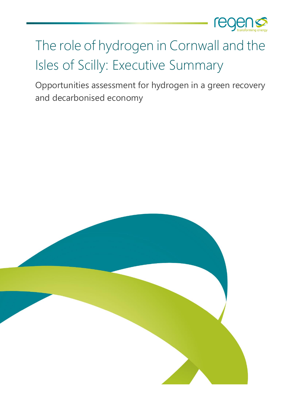

# The role of hydrogen in Cornwall and the Isles of Scilly: Executive Summary

Opportunities assessment for hydrogen in a green recovery and decarbonised economy

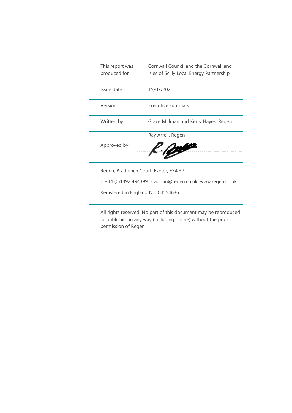| This report was<br>produced for | Cornwall Council and the Cornwall and<br>Isles of Scilly Local Energy Partnership |
|---------------------------------|-----------------------------------------------------------------------------------|
| Issue date                      | 15/07/2021                                                                        |
| Version                         | Executive summary                                                                 |
| Written by:                     | Grace Millman and Kerry Hayes, Regen                                              |
|                                 | Ray Arrell, Regen                                                                 |
| Approved by:                    | <b>College</b>                                                                    |

Regen, Bradninch Court. Exeter, EX4 3PL

T +44 (0)1392 494399 E admin@regen.co.uk www.regen.co.uk

Registered in England No: 04554636

All rights reserved. No part of this document may be reproduced or published in any way (including online) without the prior permission of Regen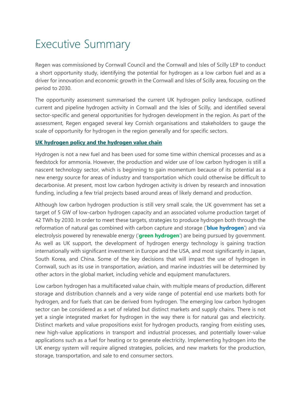### Executive Summary

Regen was commissioned by Cornwall Council and the Cornwall and Isles of Scilly LEP to conduct a short opportunity study, identifying the potential for hydrogen as a low carbon fuel and as a driver for innovation and economic growth in the Cornwall and Isles of Scilly area, focusing on the period to 2030.

The opportunity assessment summarised the current UK hydrogen policy landscape, outlined current and pipeline hydrogen activity in Cornwall and the Isles of Scilly, and identified several sector-specific and general opportunities for hydrogen development in the region. As part of the assessment, Regen engaged several key Cornish organisations and stakeholders to gauge the scale of opportunity for hydrogen in the region generally and for specific sectors.

#### **UK hydrogen policy and the hydrogen value chain**

Hydrogen is not a new fuel and has been used for some time within chemical processes and as a feedstock for ammonia. However, the production and wider use of low carbon hydrogen is still a nascent technology sector, which is beginning to gain momentum because of its potential as a new energy source for areas of industry and transportation which could otherwise be difficult to decarbonise. At present, most low carbon hydrogen activity is driven by research and innovation funding, including a few trial projects based around areas of likely demand and production.

Although low carbon hydrogen production is still very small scale, the UK government has set a target of 5 GW of low-carbon hydrogen capacity and an associated volume production target of 42 TWh by 2030. In order to meet these targets, strategies to produce hydrogen both through the reformation of natural gas combined with carbon capture and storage ('**blue hydrogen**') and via electrolysis powered by renewable energy ('**green hydrogen**') are being pursued by government. As well as UK support, the development of hydrogen energy technology is gaining traction internationally with significant investment in Europe and the USA, and most significantly in Japan, South Korea, and China. Some of the key decisions that will impact the use of hydrogen in Cornwall, such as its use in transportation, aviation, and marine industries will be determined by other actors in the global market, including vehicle and equipment manufacturers.

Low carbon hydrogen has a multifaceted value chain, with multiple means of production, different storage and distribution channels and a very wide range of potential end use markets both for hydrogen, and for fuels that can be derived from hydrogen. The emerging low carbon hydrogen sector can be considered as a set of related but distinct markets and supply chains. There is not yet a single integrated market for hydrogen in the way there is for natural gas and electricity. Distinct markets and value propositions exist for hydrogen products, ranging from existing uses, new high-value applications in transport and industrial processes, and potentially lower-value applications such as a fuel for heating or to generate electricity. Implementing hydrogen into the UK energy system will require aligned strategies, policies, and new markets for the production, storage, transportation, and sale to end consumer sectors.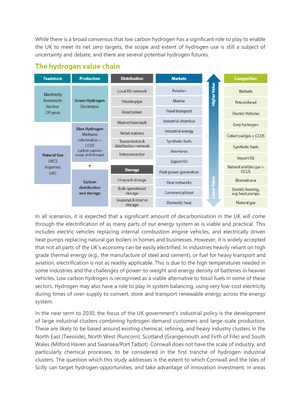While there is a broad consensus that low carbon hydrogen has a significant role to play to enable the UK to meet its net zero targets, the scope and extent of hydrogen use is still a subject of uncertainty and debate, and there are several potential hydrogen futures.

| <b>Feedstock</b>           | <b>Production</b>                                                                                                                                           | <b>Distribution</b>                    | <b>Markets</b>                  |   | <b>Competition</b>                   |
|----------------------------|-------------------------------------------------------------------------------------------------------------------------------------------------------------|----------------------------------------|---------------------------------|---|--------------------------------------|
| <b>Electricity</b>         | <b>Green Hydrogen</b><br><b>Electrolysis</b><br><b>Blue Hydrogen</b><br>Methane<br>$reformation +$<br><b>CCUS</b><br>(carbon capture,<br>usage and storage) | Local H <sub>2</sub> network           | <b>Higher Value</b><br>Aviation |   | <b>Biofuels</b>                      |
| Renewable                  |                                                                                                                                                             | Private pipe                           | Marine                          |   | Petrol/diesel                        |
| <b>Nuclear</b><br>Off-peak |                                                                                                                                                             | Road transport<br>Road tanker          |                                 |   | <b>Flectric Vehicles</b>             |
|                            |                                                                                                                                                             | Marine/train bulk                      | Industrial chemical             |   | Grey hydrogen                        |
|                            |                                                                                                                                                             | <b>Retail stations</b>                 | Industrial energy               |   | Coke/coal/gas + CCUS                 |
|                            |                                                                                                                                                             | Transmission &<br>distribution network | Synthetic fuels                 |   |                                      |
| <b>Natural Gas</b>         |                                                                                                                                                             | Interconnector                         | Ammonia                         |   | Synthetic fuels                      |
| <b>UKCS</b>                |                                                                                                                                                             |                                        | Export H <sub>2</sub>           |   | Import H <sub>2</sub>                |
| Imported<br><b>LNG</b>     | $\ddot{}$                                                                                                                                                   | <b>Storage</b>                         | Peak power generation           |   | Natural and bio gas +<br><b>CCUS</b> |
|                            | Carbon<br>distribution<br>and storage                                                                                                                       | Linepack storage                       | Heat networks                   | 름 | Biomethane                           |
|                            |                                                                                                                                                             | <b>Bulk operational</b><br>storage     | Commercial heat                 |   | Electric heating,<br>e.g. heat pumps |
|                            |                                                                                                                                                             | Seasonal & reserve<br>storage          | Domestic heat                   |   | Natural gas                          |

#### The hydrogen value chain

In all scenarios, it is expected that a significant amount of decarbonisation in the UK will come through the electrification of as many parts of our energy system as is viable and practical. This includes electric vehicles replacing internal combustion engine vehicles, and electrically driven heat pumps replacing natural gas boilers in homes and businesses. However, it is widely accepted that not all parts of the UK's economy can be easily electrified. In industries heavily reliant on high grade thermal energy (e.g., the manufacture of steel and cement), or fuel for heavy transport and aviation, electrification is not as readily applicable. This is due to the high temperatures needed in some industries and the challenges of power-to-weight and energy density of batteries in heavier vehicles. Low carbon hydrogen is recognised as a viable alternative to fossil fuels in some of these sectors. Hydrogen may also have a role to play in system balancing, using very low-cost electricity during times of over-supply to convert, store and transport renewable energy across the energy system.

In the near term to 2030, the focus of the UK government's industrial policy is the development of large industrial clusters combining hydrogen demand customers and large-scale production. These are likely to be based around existing chemical, refining, and heavy industry clusters in the North East (Teesside), North West (Runcorn), Scotland (Grangemouth and Firth of Fife) and South Wales (Milford Haven and Swansea/Port Talbot). Cornwall does not have the scale of industry, and particularly chemical processes, to be considered in the first tranche of hydrogen industrial clusters. The question which this study addresses is the extent to which Cornwall and the Isles of Scilly can target hydrogen opportunities, and take advantage of innovation investment, in areas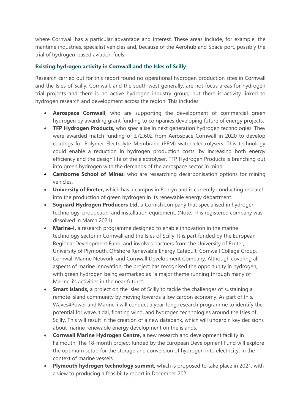where Cornwall has a particular advantage and interest. These areas include, for example, the maritime industries, specialist vehicles and, because of the Aerohub and Space port, possibly the trial of hydrogen-based aviation fuels.

#### **Existing hydrogen activity in Cornwall and the Isles of Scilly**

Research carried out for this report found no operational hydrogen production sites in Cornwall and the Isles of Scilly. Cornwall, and the south west generally, are not focus areas for hydrogen trial projects and there is no active hydrogen industry group; but there is activity linked to hydrogen research and development across the region. This includes:

- **Aerospace Cornwall**, who are supporting the development of commercial green hydrogen by awarding grant funding to companies developing future of energy projects.
- **TFP Hydrogen Products,** who specialise in next generation hydrogen technologies. They were awarded match funding of £72,602 from Aerospace Cornwall in 2020 to develop coatings for Polymer Electrolyte Membrane (PEM) water electrolysers. This technology could enable a reduction in hydrogen production costs, by increasing both energy efficiency and the design life of the electrolyser. TFP Hydrogen Products is branching out into green hydrogen with the demands of the aerospace sector in mind.
- **Camborne School of Mines**, who are researching decarbonisation options for mining vehicles.
- **University of Exeter,** which has a campus in Penryn and is currently conducting research into the production of green hydrogen in its renewable energy department.
- **Soguard Hydrogen Producers Ltd,** a Cornish company that specialised in hydrogen technology, production, and installation equipment. (Note: This registered company was dissolved in March 2021).
- **Marine-i,** a research programme designed to enable innovation in the marine technology sector in Cornwall and the Isles of Scilly. It is part funded by the European Regional Development Fund, and involves partners from the University of Exeter, University of Plymouth, Offshore Renewable Energy Catapult, Cornwall College Group, Cornwall Marine Network, and Cornwall Development Company. Although covering all aspects of marine innovation, the project has recognised the opportunity in hydrogen, with green hydrogen being earmarked as "a major theme running through many of Marine-i's activities in the near future".
- **Smart Islands,** a project on the Isles of Scilly to tackle the challenges of sustaining a remote island community by moving towards a low carbon economy. As part of this, Waves4Power and Marine-i will conduct a year-long research programme to identify the potential for wave, tidal, floating wind, and hydrogen technologies around the Isles of Scilly. This will result in the creation of a new databank, which will underpin key decisions about marine renewable energy development on the islands.
- **Cornwall Marine Hydrogen Centre,** a new research and development facility in Falmouth. The 18-month project funded by the European Development Fund will explore the optimum setup for the storage and conversion of hydrogen into electricity, in the context of marine vessels.
- **Plymouth hydrogen technology summit,** which is proposed to take place in 2021, with a view to producing a feasibility report in December 2021.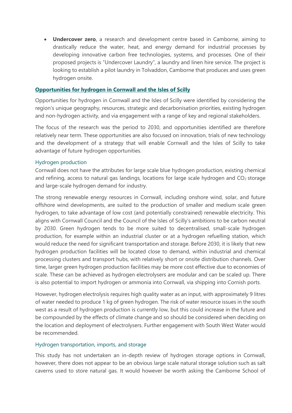• **Undercover zero**, a research and development centre based in Camborne, aiming to drastically reduce the water, heat, and energy demand for industrial processes by developing innovative carbon free technologies, systems, and processes. One of their proposed projects is "Undercover Laundry", a laundry and linen hire service. The project is looking to establish a pilot laundry in Tolvaddon, Camborne that produces and uses green hydrogen onsite.

#### **Opportunities for hydrogen in Cornwall and the Isles of Scilly**

Opportunities for hydrogen in Cornwall and the Isles of Scilly were identified by considering the region's unique geography, resources, strategic and decarbonisation priorities, existing hydrogen and non-hydrogen activity, and via engagement with a range of key and regional stakeholders.

The focus of the research was the period to 2030, and opportunities identified are therefore relatively near term. These opportunities are also focused on innovation, trials of new technology and the development of a strategy that will enable Cornwall and the Isles of Scilly to take advantage of future hydrogen opportunities.

#### Hydrogen production

Cornwall does not have the attributes for large scale blue hydrogen production, existing chemical and refining, access to natural gas landings, locations for large scale hydrogen and  $CO<sub>2</sub>$  storage and large-scale hydrogen demand for industry.

The strong renewable energy resources in Cornwall, including onshore wind, solar, and future offshore wind developments, are suited to the production of smaller and medium scale green hydrogen, to take advantage of low cost (and potentially constrained) renewable electricity. This aligns with Cornwall Council and the Council of the Isles of Scilly's ambitions to be carbon neutral by 2030. Green hydrogen tends to be more suited to decentralised, small-scale hydrogen production, for example within an industrial cluster or at a hydrogen refuelling station, which would reduce the need for significant transportation and storage. Before 2030, it is likely that new hydrogen production facilities will be located close to demand, within industrial and chemical processing clusters and transport hubs, with relatively short or onsite distribution channels. Over time, larger green hydrogen production facilities may be more cost effective due to economies of scale. These can be achieved as hydrogen electrolysers are modular and can be scaled up. There is also potential to import hydrogen or ammonia into Cornwall, via shipping into Cornish ports.

However, hydrogen electrolysis requires high quality water as an input, with approximately 9 litres of water needed to produce 1 kg of green hydrogen. The risk of water resource issues in the south west as a result of hydrogen production is currently low, but this could increase in the future and be compounded by the effects of climate change and so should be considered when deciding on the location and deployment of electrolysers. Further engagement with South West Water would be recommended.

#### Hydrogen transportation, imports, and storage

This study has not undertaken an in-depth review of hydrogen storage options in Cornwall, however, there does not appear to be an obvious large scale natural storage solution such as salt caverns used to store natural gas. It would however be worth asking the Camborne School of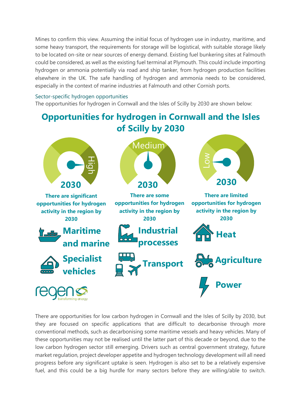Mines to confirm this view. Assuming the initial focus of hydrogen use in industry, maritime, and some heavy transport, the requirements for storage will be logistical, with suitable storage likely to be located on-site or near sources of energy demand. Existing fuel bunkering sites at Falmouth could be considered, as well as the existing fuel terminal at Plymouth. This could include importing hydrogen or ammonia potentially via road and ship tanker, from hydrogen production facilities elsewhere in the UK. The safe handling of hydrogen and ammonia needs to be considered, especially in the context of marine industries at Falmouth and other Cornish ports.

#### Sector-specific hydrogen opportunities

The opportunities for hydrogen in Cornwall and the Isles of Scilly by 2030 are shown below:

### **Opportunities for hydrogen in Cornwall and the Isles of Scilly by 2030 Medium**



There are opportunities for low carbon hydrogen in Cornwall and the Isles of Scilly by 2030, but they are focused on specific applications that are difficult to decarbonise through more conventional methods, such as decarbonising some maritime vessels and heavy vehicles. Many of these opportunities may not be realised until the latter part of this decade or beyond, due to the low carbon hydrogen sector still emerging. Drivers such as central government strategy, future market regulation, project developer appetite and hydrogen technology development will all need progress before any significant uptake is seen. Hydrogen is also set to be a relatively expensive fuel, and this could be a big hurdle for many sectors before they are willing/able to switch.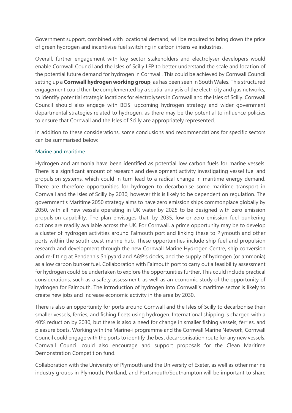Government support, combined with locational demand, will be required to bring down the price of green hydrogen and incentivise fuel switching in carbon intensive industries.

Overall, further engagement with key sector stakeholders and electrolyser developers would enable Cornwall Council and the Isles of Scilly LEP to better understand the scale and location of the potential future demand for hydrogen in Cornwall. This could be achieved by Cornwall Council setting up a **Cornwall hydrogen working group**, as has been seen in South Wales. This structured engagement could then be complemented by a spatial analysis of the electricity and gas networks, to identify potential strategic locations for electrolysers in Cornwall and the Isles of Scilly. Cornwall Council should also engage with BEIS' upcoming hydrogen strategy and wider government departmental strategies related to hydrogen, as there may be the potential to influence policies to ensure that Cornwall and the Isles of Scilly are appropriately represented.

In addition to these considerations, some conclusions and recommendations for specific sectors can be summarised below:

#### Marine and maritime

Hydrogen and ammonia have been identified as potential low carbon fuels for marine vessels. There is a significant amount of research and development activity investigating vessel fuel and propulsion systems, which could in turn lead to a radical change in maritime energy demand. There are therefore opportunities for hydrogen to decarbonise some maritime transport in Cornwall and the Isles of Scilly by 2030, however this is likely to be dependent on regulation. The government's Maritime 2050 strategy aims to have zero emission ships commonplace globally by 2050, with all new vessels operating in UK water by 2025 to be designed with zero emission propulsion capability. The plan envisages that, by 2035, low or zero emission fuel bunkering options are readily available across the UK. For Cornwall, a prime opportunity may be to develop a cluster of hydrogen activities around Falmouth port and linking these to Plymouth and other ports within the south coast marine hub. These opportunities include ship fuel and propulsion research and development through the new Cornwall Marine Hydrogen Centre, ship conversion and re-fitting at Pendennis Shipyard and A&P's docks, and the supply of hydrogen (or ammonia) as a low carbon bunker fuel. Collaboration with Falmouth port to carry out a feasibility assessment for hydrogen could be undertaken to explore the opportunities further. This could include practical considerations, such as a safety assessment, as well as an economic study of the opportunity of hydrogen for Falmouth. The introduction of hydrogen into Cornwall's maritime sector is likely to create new jobs and increase economic activity in the area by 2030.

There is also an opportunity for ports around Cornwall and the Isles of Scilly to decarbonise their smaller vessels, ferries, and fishing fleets using hydrogen. International shipping is charged with a 40% reduction by 2030, but there is also a need for change in smaller fishing vessels, ferries, and pleasure boats. Working with the Marine-i programme and the Cornwall Marine Network, Cornwall Council could engage with the ports to identify the best decarbonisation route for any new vessels. Cornwall Council could also encourage and support proposals for the Clean Maritime Demonstration Competition fund.

Collaboration with the University of Plymouth and the University of Exeter, as well as other marine industry groups in Plymouth, Portland, and Portsmouth/Southampton will be important to share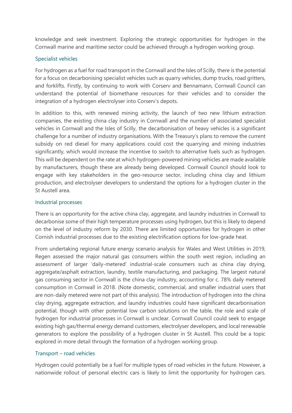knowledge and seek investment. Exploring the strategic opportunities for hydrogen in the Cornwall marine and maritime sector could be achieved through a hydrogen working group.

#### Specialist vehicles

For hydrogen as a fuel for road transport in the Cornwall and the Isles of Scilly, there is the potential for a focus on decarbonising specialist vehicles such as quarry vehicles, dump trucks, road gritters, and forklifts. Firstly, by continuing to work with Corserv and Bennamann, Cornwall Council can understand the potential of biomethane resources for their vehicles and to consider the integration of a hydrogen electrolyser into Corserv's depots.

In addition to this, with renewed mining activity, the launch of two new lithium extraction companies, the existing china clay industry in Cornwall and the number of associated specialist vehicles in Cornwall and the Isles of Scilly, the decarbonisation of heavy vehicles is a significant challenge for a number of industry organisations. With the Treasury's plans to remove the current subsidy on red diesel for many applications could cost the quarrying and mining industries significantly, which would increase the incentive to switch to alternative fuels such as hydrogen. This will be dependent on the rate at which hydrogen-powered mining vehicles are made available by manufacturers, though these are already being developed. Cornwall Council should look to engage with key stakeholders in the geo-resource sector, including china clay and lithium production, and electrolyser developers to understand the options for a hydrogen cluster in the St Austell area.

#### Industrial processes

There is an opportunity for the active china clay, aggregate, and laundry industries in Cornwall to decarbonise some of their high temperature processes using hydrogen, but this is likely to depend on the level of industry reform by 2030. There are limited opportunities for hydrogen in other Cornish industrial processes due to the existing electrification options for low-grade heat.

From undertaking regional future energy scenario analysis for Wales and West Utilities in 2019, Regen assessed the major natural gas consumers within the south west region, including an assessment of larger 'daily-metered' industrial-scale consumers such as china clay drying, aggregate/asphalt extraction, laundry, textile manufacturing, and packaging. The largest natural gas consuming sector in Cornwall is the china clay industry, accounting for c. 78% daily metered consumption in Cornwall in 2018. (Note domestic, commercial, and smaller industrial users that are non-daily metered were not part of this analysis). The introduction of hydrogen into the china clay drying, aggregate extraction, and laundry industries could have significant decarbonisation potential, though with other potential low carbon solutions on the table, the role and scale of hydrogen for industrial processes in Cornwall is unclear. Cornwall Council could seek to engage existing high gas/thermal energy demand customers, electrolyser developers, and local renewable generators to explore the possibility of a hydrogen cluster in St Austell. This could be a topic explored in more detail through the formation of a hydrogen working group.

#### Transport – road vehicles

Hydrogen could potentially be a fuel for multiple types of road vehicles in the future. However, a nationwide rollout of personal electric cars is likely to limit the opportunity for hydrogen cars.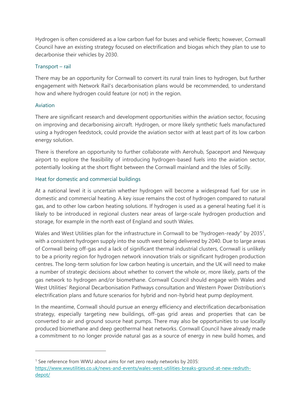Hydrogen is often considered as a low carbon fuel for buses and vehicle fleets; however, Cornwall Council have an existing strategy focused on electrification and biogas which they plan to use to decarbonise their vehicles by 2030.

#### Transport – rail

There may be an opportunity for Cornwall to convert its rural train lines to hydrogen, but further engagement with Network Rail's decarbonisation plans would be recommended, to understand how and where hydrogen could feature (or not) in the region.

#### Aviation

There are significant research and development opportunities within the aviation sector, focusing on improving and decarbonising aircraft. Hydrogen, or more likely synthetic fuels manufactured using a hydrogen feedstock, could provide the aviation sector with at least part of its low carbon energy solution.

There is therefore an opportunity to further collaborate with Aerohub, Spaceport and Newquay airport to explore the feasibility of introducing hydrogen-based fuels into the aviation sector, potentially looking at the short flight between the Cornwall mainland and the Isles of Scilly.

#### Heat for domestic and commercial buildings

At a national level it is uncertain whether hydrogen will become a widespread fuel for use in domestic and commercial heating. A key issue remains the cost of hydrogen compared to natural gas, and to other low carbon heating solutions. If hydrogen is used as a general heating fuel it is likely to be introduced in regional clusters near areas of large-scale hydrogen production and storage, for example in the north east of England and south Wales.

Wales and West Utilities plan for the infrastructure in Cornwall to be "hydrogen-ready" by 2035<sup>1</sup>, with a consistent hydrogen supply into the south west being delivered by 2040. Due to large areas of Cornwall being off-gas and a lack of significant thermal industrial clusters, Cornwall is unlikely to be a priority region for hydrogen network innovation trials or significant hydrogen production centres. The long-term solution for low carbon heating is uncertain, and the UK will need to make a number of strategic decisions about whether to convert the whole or, more likely, parts of the gas network to hydrogen and/or biomethane. Cornwall Council should engage with Wales and West Utilities' Regional Decarbonisation Pathways consultation and Western Power Distribution's electrification plans and future scenarios for hybrid and non-hybrid heat pump deployment.

In the meantime, Cornwall should pursue an energy efficiency and electrification decarbonisation strategy, especially targeting new buildings, off-gas grid areas and properties that can be converted to air and ground source heat pumps. There may also be opportunities to use locally produced biomethane and deep geothermal heat networks. Cornwall Council have already made a commitment to no longer provide natural gas as a source of energy in new build homes, and

<sup>&</sup>lt;sup>1</sup> See reference from WWU about aims for net zero ready networks by 2035:

[https://www.wwutilities.co.uk/news-and-events/wales-west-utilities-breaks-ground-at-new-redruth](https://www.wwutilities.co.uk/news-and-events/wales-west-utilities-breaks-ground-at-new-redruth-depot/)[depot/](https://www.wwutilities.co.uk/news-and-events/wales-west-utilities-breaks-ground-at-new-redruth-depot/)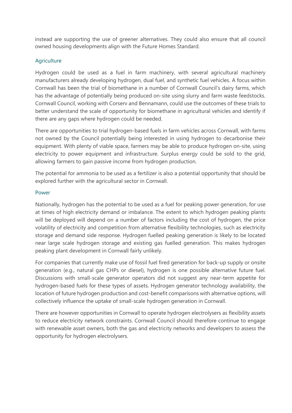instead are supporting the use of greener alternatives. They could also ensure that all council owned housing developments align with the Future Homes Standard.

#### **Agriculture**

Hydrogen could be used as a fuel in farm machinery, with several agricultural machinery manufacturers already developing hydrogen, dual fuel, and synthetic fuel vehicles. A focus within Cornwall has been the trial of biomethane in a number of Cornwall Council's dairy farms, which has the advantage of potentially being produced on-site using slurry and farm waste feedstocks. Cornwall Council, working with Corserv and Bennamann, could use the outcomes of these trials to better understand the scale of opportunity for biomethane in agricultural vehicles and identify if there are any gaps where hydrogen could be needed.

There are opportunities to trial hydrogen-based fuels in farm vehicles across Cornwall, with farms not owned by the Council potentially being interested in using hydrogen to decarbonise their equipment. With plenty of viable space, farmers may be able to produce hydrogen on-site, using electricity to power equipment and infrastructure. Surplus energy could be sold to the grid, allowing farmers to gain passive income from hydrogen production.

The potential for ammonia to be used as a fertilizer is also a potential opportunity that should be explored further with the agricultural sector in Cornwall.

#### Power

Nationally, hydrogen has the potential to be used as a fuel for peaking power generation, for use at times of high electricity demand or imbalance. The extent to which hydrogen peaking plants will be deployed will depend on a number of factors including the cost of hydrogen, the price volatility of electricity and competition from alternative flexibility technologies, such as electricity storage and demand side response. Hydrogen fuelled peaking generation is likely to be located near large scale hydrogen storage and existing gas fuelled generation. This makes hydrogen peaking plant development in Cornwall fairly unlikely.

For companies that currently make use of fossil fuel fired generation for back-up supply or onsite generation (e.g., natural gas CHPs or diesel), hydrogen is one possible alternative future fuel. Discussions with small-scale generator operators did not suggest any near-term appetite for hydrogen-based fuels for these types of assets. Hydrogen generator technology availability, the location of future hydrogen production and cost-benefit comparisons with alternative options, will collectively influence the uptake of small-scale hydrogen generation in Cornwall.

There are however opportunities in Cornwall to operate hydrogen electrolysers as flexibility assets to reduce electricity network constraints. Cornwall Council should therefore continue to engage with renewable asset owners, both the gas and electricity networks and developers to assess the opportunity for hydrogen electrolysers.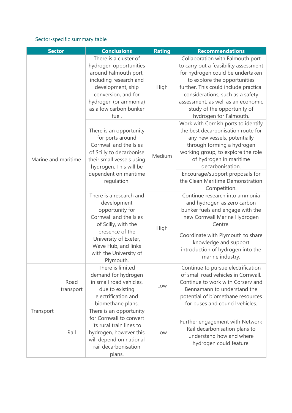#### Sector-specific summary table

| <b>Sector</b>       |                   | <b>Conclusions</b>                                                                                                                                                                                                   | <b>Rating</b> | <b>Recommendations</b>                                                                                                                                                                                                                                                                                                    |
|---------------------|-------------------|----------------------------------------------------------------------------------------------------------------------------------------------------------------------------------------------------------------------|---------------|---------------------------------------------------------------------------------------------------------------------------------------------------------------------------------------------------------------------------------------------------------------------------------------------------------------------------|
| Marine and maritime |                   | There is a cluster of<br>hydrogen opportunities<br>around Falmouth port,<br>including research and<br>development, ship<br>conversion, and for<br>hydrogen (or ammonia)<br>as a low carbon bunker<br>fuel.           | High          | Collaboration with Falmouth port<br>to carry out a feasibility assessment<br>for hydrogen could be undertaken<br>to explore the opportunities<br>further. This could include practical<br>considerations, such as a safety<br>assessment, as well as an economic<br>study of the opportunity of<br>hydrogen for Falmouth. |
|                     |                   | There is an opportunity<br>for ports around<br>Cornwall and the Isles<br>of Scilly to decarbonise<br>their small vessels using<br>hydrogen. This will be                                                             | Medium        | Work with Cornish ports to identify<br>the best decarbonisation route for<br>any new vessels, potentially<br>through forming a hydrogen<br>working group, to explore the role<br>of hydrogen in maritime<br>decarbonisation.                                                                                              |
|                     |                   | dependent on maritime<br>regulation.                                                                                                                                                                                 |               | Encourage/support proposals for<br>the Clean Maritime Demonstration<br>Competition.                                                                                                                                                                                                                                       |
|                     |                   | There is a research and<br>development<br>opportunity for<br>Cornwall and the Isles<br>of Scilly, with the<br>presence of the<br>University of Exeter,<br>Wave Hub, and links<br>with the University of<br>Plymouth. | High          | Continue research into ammonia<br>and hydrogen as zero carbon<br>bunker fuels and engage with the<br>new Cornwall Marine Hydrogen<br>Centre.                                                                                                                                                                              |
|                     |                   |                                                                                                                                                                                                                      |               | Coordinate with Plymouth to share<br>knowledge and support<br>introduction of hydrogen into the<br>marine industry.                                                                                                                                                                                                       |
| Transport           | Road<br>transport | There is limited<br>demand for hydrogen<br>in small road vehicles,<br>due to existing<br>electrification and<br>biomethane plans.                                                                                    | Low           | Continue to pursue electrification<br>of small road vehicles in Cornwall.<br>Continue to work with Corserv and<br>Bennamann to understand the<br>potential of biomethane resources<br>for buses and council vehicles.                                                                                                     |
|                     | Rail              | There is an opportunity<br>for Cornwall to convert<br>its rural train lines to<br>hydrogen, however this<br>will depend on national<br>rail decarbonisation<br>plans.                                                | Low           | Further engagement with Network<br>Rail decarbonisation plans to<br>understand how and where<br>hydrogen could feature.                                                                                                                                                                                                   |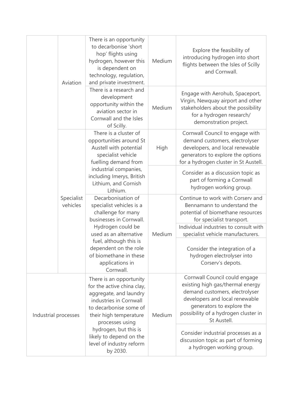|                      | Aviation               | There is an opportunity<br>to decarbonise 'short<br>hop' flights using<br>hydrogen, however this<br>is dependent on<br>technology, regulation,<br>and private investment.                                                                                                    | Medium | Explore the feasibility of<br>introducing hydrogen into short<br>flights between the Isles of Scilly<br>and Cornwall.                                                                                                     |
|----------------------|------------------------|------------------------------------------------------------------------------------------------------------------------------------------------------------------------------------------------------------------------------------------------------------------------------|--------|---------------------------------------------------------------------------------------------------------------------------------------------------------------------------------------------------------------------------|
|                      |                        | There is a research and<br>development<br>opportunity within the<br>aviation sector in<br>Cornwall and the Isles<br>of Scilly.                                                                                                                                               | Medium | Engage with Aerohub, Spaceport,<br>Virgin, Newquay airport and other<br>stakeholders about the possibility<br>for a hydrogen research/<br>demonstration project.                                                          |
|                      | Specialist<br>vehicles | There is a cluster of<br>opportunities around St<br>Austell with potential<br>specialist vehicle<br>fuelling demand from                                                                                                                                                     | High   | Cornwall Council to engage with<br>demand customers, electrolyser<br>developers, and local renewable<br>generators to explore the options<br>for a hydrogen cluster in St Austell.                                        |
|                      |                        | industrial companies,<br>including Imerys, British<br>Lithium, and Cornish<br>Lithium.                                                                                                                                                                                       |        | Consider as a discussion topic as<br>part of forming a Cornwall<br>hydrogen working group.                                                                                                                                |
|                      |                        | Decarbonisation of<br>specialist vehicles is a<br>challenge for many<br>businesses in Cornwall.<br>Hydrogen could be<br>used as an alternative<br>fuel, although this is<br>dependent on the role<br>of biomethane in these<br>applications in<br>Cornwall.                  | Medium | Continue to work with Corserv and<br>Bennamann to understand the<br>potential of biomethane resources<br>for specialist transport.<br>Individual industries to consult with<br>specialist vehicle manufacturers.          |
|                      |                        |                                                                                                                                                                                                                                                                              |        | Consider the integration of a<br>hydrogen electrolyser into<br>Corserv's depots.                                                                                                                                          |
| Industrial processes |                        | There is an opportunity<br>for the active china clay,<br>aggregate, and laundry<br>industries in Cornwall<br>to decarbonise some of<br>their high temperature<br>processes using<br>hydrogen, but this is<br>likely to depend on the<br>level of industry reform<br>by 2030. | Medium | Cornwall Council could engage<br>existing high gas/thermal energy<br>demand customers, electrolyser<br>developers and local renewable<br>generators to explore the<br>possibility of a hydrogen cluster in<br>St Austell. |
|                      |                        |                                                                                                                                                                                                                                                                              |        | Consider industrial processes as a<br>discussion topic as part of forming<br>a hydrogen working group.                                                                                                                    |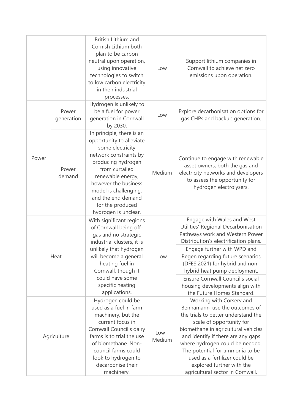|             |                     | British Lithium and<br>Cornish Lithium both<br>plan to be carbon<br>neutral upon operation,<br>using innovative<br>technologies to switch<br>to low carbon electricity<br>in their industrial<br>processes.                                                                         | Low               | Support lithium companies in<br>Cornwall to achieve net zero<br>emissions upon operation.                                                                                                                                                                                                                                                                                          |
|-------------|---------------------|-------------------------------------------------------------------------------------------------------------------------------------------------------------------------------------------------------------------------------------------------------------------------------------|-------------------|------------------------------------------------------------------------------------------------------------------------------------------------------------------------------------------------------------------------------------------------------------------------------------------------------------------------------------------------------------------------------------|
|             | Power<br>generation | Hydrogen is unlikely to<br>be a fuel for power<br>generation in Cornwall<br>by 2030.                                                                                                                                                                                                | Low               | Explore decarbonisation options for<br>gas CHPs and backup generation.                                                                                                                                                                                                                                                                                                             |
| Power       | Power<br>demand     | In principle, there is an<br>opportunity to alleviate<br>some electricity<br>network constraints by<br>producing hydrogen<br>from curtailed<br>renewable energy,<br>however the business<br>model is challenging,<br>and the end demand<br>for the produced<br>hydrogen is unclear. | Medium            | Continue to engage with renewable<br>asset owners, both the gas and<br>electricity networks and developers<br>to assess the opportunity for<br>hydrogen electrolysers.                                                                                                                                                                                                             |
| Heat        |                     | With significant regions<br>of Cornwall being off-<br>gas and no strategic<br>industrial clusters, it is                                                                                                                                                                            | Low               | Engage with Wales and West<br>Utilities' Regional Decarbonisation<br>Pathways work and Western Power<br>Distribution's electrification plans.                                                                                                                                                                                                                                      |
|             |                     | unlikely that hydrogen<br>will become a general<br>heating fuel in<br>Cornwall, though it                                                                                                                                                                                           |                   | Engage further with WPD and<br>Regen regarding future scenarios<br>(DFES 2021) for hybrid and non-<br>hybrid heat pump deployment.                                                                                                                                                                                                                                                 |
|             |                     | could have some<br>specific heating<br>applications.                                                                                                                                                                                                                                |                   | Ensure Cornwall Council's social<br>housing developments align with<br>the Future Homes Standard.                                                                                                                                                                                                                                                                                  |
| Agriculture |                     | Hydrogen could be<br>used as a fuel in farm<br>machinery, but the<br>current focus in<br>Cornwall Council's dairy<br>farms is to trial the use<br>of biomethane. Non-<br>council farms could<br>look to hydrogen to<br>decarbonise their<br>machinery.                              | $Low -$<br>Medium | Working with Corserv and<br>Bennamann, use the outcomes of<br>the trials to better understand the<br>scale of opportunity for<br>biomethane in agricultural vehicles<br>and identify if there are any gaps<br>where hydrogen could be needed.<br>The potential for ammonia to be<br>used as a fertilizer could be<br>explored further with the<br>agricultural sector in Cornwall. |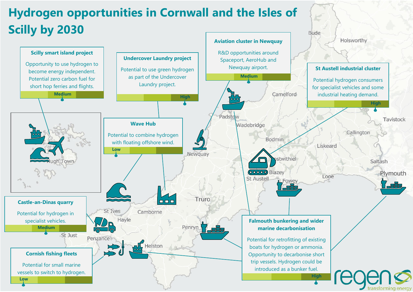## **Hydrogen opportunities in Cornwall and the Isles of Scilly by 2030**



**Bude**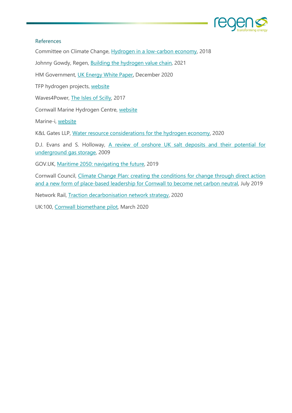

#### References

Committee on Climate Change, [Hydrogen in a low-carbon economy,](https://www.theccc.org.uk/wp-content/uploads/2018/11/Hydrogen-in-a-low-carbon-economy.pdf) 2018

Johnny Gowdy, Regen, [Building the hydrogen value chain,](https://www.regen.co.uk/wp-content/uploads/Hydrogen-Insight-Paper-v4.pdf) 2021

HM Government, [UK Energy White Paper,](https://assets.publishing.service.gov.uk/government/uploads/system/uploads/attachment_data/file/945899/201216_BEIS_EWP_Command_Paper_Accessible.pdf) December 2020

TFP hydrogen projects, [website](https://www.tfphydrogen.com/)

Waves4Power, [The Isles of Scilly,](https://www.waves4power.com/news-coverage/the-isles-of-scilly/) 2017

Cornwall Marine Hydrogen Centre, [website](https://www.cornwallmarinehydrogencentre.com/)

Marine-i, [website](https://www.marine-i.co.uk/)

K&L Gates LLP, [Water resource considerations for the hydrogen economy,](https://www.jdsupra.com/legalnews/water-resource-considerations-for-the-84603/) 2020

D.J. Evans and S. Holloway, A review of onshore UK salt deposits and their potential for [underground gas storage,](https://sp.lyellcollection.org/content/313/1/39/tab-figures-data) 2009

GOV.UK, [Maritime 2050: navigating](https://www.gov.uk/government/publications/maritime-2050-navigating-the-future) the future, 2019

Cornwall Council, Climate Change [Plan: creating the conditions for change through direct action](https://www.cornwall.gov.uk/media/y5mctbyu/climate-change-action-plan.pdf)  [and a new form of place-based leadership for Cornwall to become net carbon neutral,](https://www.cornwall.gov.uk/media/y5mctbyu/climate-change-action-plan.pdf) July 2019

Network Rail, [Traction decarbonisation network strategy,](https://www.networkrail.co.uk/wp-content/uploads/2020/09/Traction-Decarbonisation-Network-Strategy-Executive-Summary.pdf) 2020

UK:100, [Cornwall biomethane pilot,](https://www.uk100.org/projects/knowledgehub/cornwall-biomethane-pilot) March 2020